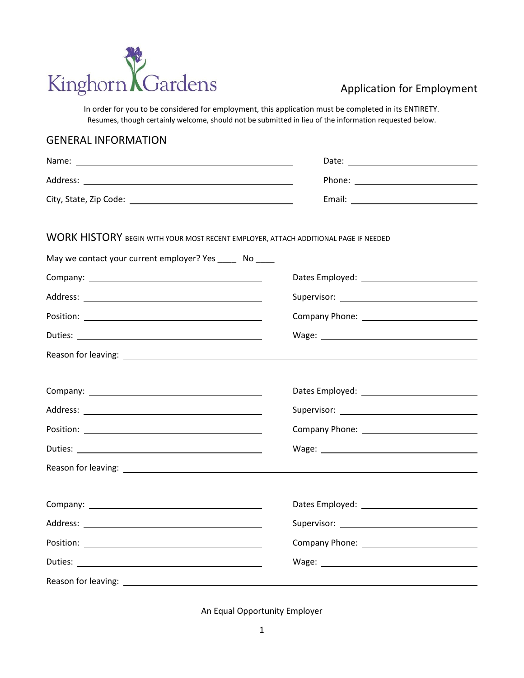

## Application for Employment

In order for you to be considered for employment, this application must be completed in its ENTIRETY. Resumes, though certainly welcome, should not be submitted in lieu of the information requested below.

## GENERAL INFORMATION

| WORK HISTORY BEGIN WITH YOUR MOST RECENT EMPLOYER, ATTACH ADDITIONAL PAGE IF NEEDED |  |  |  |
|-------------------------------------------------------------------------------------|--|--|--|
| May we contact your current employer? Yes ______ No _____                           |  |  |  |
|                                                                                     |  |  |  |
|                                                                                     |  |  |  |
|                                                                                     |  |  |  |
|                                                                                     |  |  |  |
|                                                                                     |  |  |  |
|                                                                                     |  |  |  |
|                                                                                     |  |  |  |
|                                                                                     |  |  |  |
|                                                                                     |  |  |  |
|                                                                                     |  |  |  |
|                                                                                     |  |  |  |
|                                                                                     |  |  |  |
|                                                                                     |  |  |  |
|                                                                                     |  |  |  |
| Reason for leaving: ______________                                                  |  |  |  |

An Equal Opportunity Employer